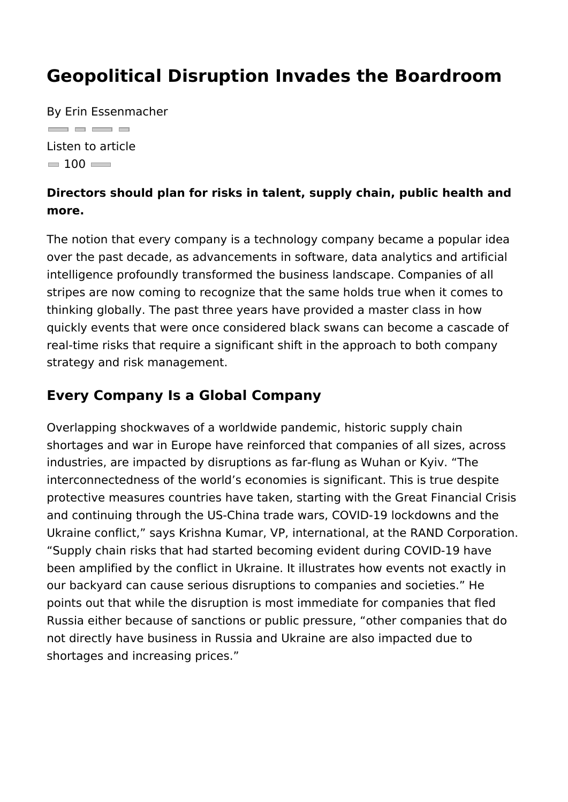#### Geopolitical Disruption Invades the Boardr

By Erin Essenmacher  $\qquad \qquad \Box$ Listen to article  $= 100$ 

Directors should plan for risks in talent, supply chain, public h more.

The notion that every company is a technology company became over the past decade, as advancements in software, data analyt intelligence profoundly transformed the business landscape. Co stripes are now coming to recognize that the same holds true w thinking globally. The past three years have provided a master quickly events that were once considered black swans can beco real-time risks that require a significant shift in the approach t strategy and risk management.

#### Every Company Is a Global Company

Overlapping shockwaves of a worldwide pandemic, historic supp shortages and war in Europe have reinforced that companies of industries, are impacted by disruptions as far-flung as Wuhan o interconnectedness of the world s economies is significant. Thi protective measures countries have taken, starting with the Gre and continuing through the US-China trade wars, COVID-19 lock Ukraine conflict, says Krishna Kumar, VP, international, at the Supply chain risks that had started becoming evident during C been amplified by the conflict in Ukraine. It illustrates how eve our backyard can cause serious disruptions to companies and s points out that while the disruption is most immediate for comp Russia either because of sanctions or public pressure, other c not directly have business in Russia and Ukraine are also impac shortages and increasing prices.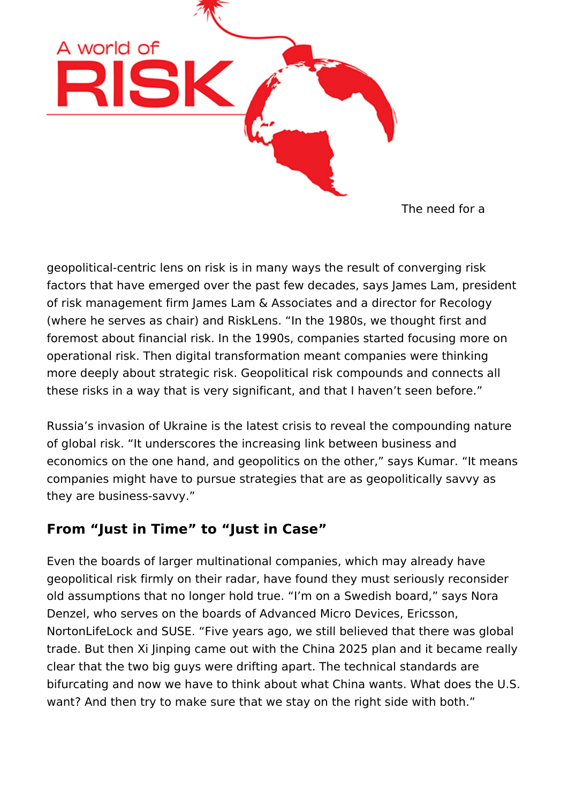

The need for a

geopolitical-centric lens on risk is in many ways the result of converging risk factors that have emerged over the past few decades, says James Lam, president of risk management firm James Lam & Associates and a director for Recology (where he serves as chair) and RiskLens. "In the 1980s, we thought first and foremost about financial risk. In the 1990s, companies started focusing more on operational risk. Then digital transformation meant companies were thinking more deeply about strategic risk. Geopolitical risk compounds and connects all these risks in a way that is very significant, and that I haven't seen before."

Russia's invasion of Ukraine is the latest crisis to reveal the compounding nature of global risk. "It underscores the increasing link between business and economics on the one hand, and geopolitics on the other," says Kumar. "It means companies might have to pursue strategies that are as geopolitically savvy as they are business-savvy."

### **From "Just in Time" to "Just in Case"**

Even the boards of larger multinational companies, which may already have geopolitical risk firmly on their radar, have found they must seriously reconsider old assumptions that no longer hold true. "I'm on a Swedish board," says Nora Denzel, who serves on the boards of Advanced Micro Devices, Ericsson, NortonLifeLock and SUSE. "Five years ago, we still believed that there was global trade. But then Xi Jinping came out with the China 2025 plan and it became really clear that the two big guys were drifting apart. The technical standards are bifurcating and now we have to think about what China wants. What does the U.S. want? And then try to make sure that we stay on the right side with both."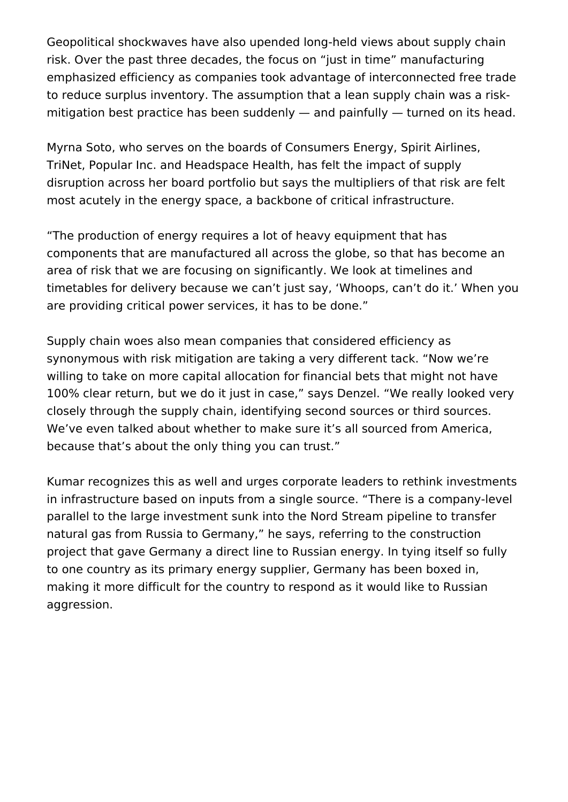Geopolitical shockwaves have also upended long-held views about supply chain risk. Over the past three decades, the focus on "just in time" manufacturing emphasized efficiency as companies took advantage of interconnected free trade to reduce surplus inventory. The assumption that a lean supply chain was a riskmitigation best practice has been suddenly  $-$  and painfully  $-$  turned on its head.

Myrna Soto, who serves on the boards of Consumers Energy, Spirit Airlines, TriNet, Popular Inc. and Headspace Health, has felt the impact of supply disruption across her board portfolio but says the multipliers of that risk are felt most acutely in the energy space, a backbone of critical infrastructure.

"The production of energy requires a lot of heavy equipment that has components that are manufactured all across the globe, so that has become an area of risk that we are focusing on significantly. We look at timelines and timetables for delivery because we can't just say, 'Whoops, can't do it.' When you are providing critical power services, it has to be done."

Supply chain woes also mean companies that considered efficiency as synonymous with risk mitigation are taking a very different tack. "Now we're willing to take on more capital allocation for financial bets that might not have 100% clear return, but we do it just in case," says Denzel. "We really looked very closely through the supply chain, identifying second sources or third sources. We've even talked about whether to make sure it's all sourced from America, because that's about the only thing you can trust."

Kumar recognizes this as well and urges corporate leaders to rethink investments in infrastructure based on inputs from a single source. "There is a company-level parallel to the large investment sunk into the Nord Stream pipeline to transfer natural gas from Russia to Germany," he says, referring to the construction project that gave Germany a direct line to Russian energy. In tying itself so fully to one country as its primary energy supplier, Germany has been boxed in, making it more difficult for the country to respond as it would like to Russian aggression.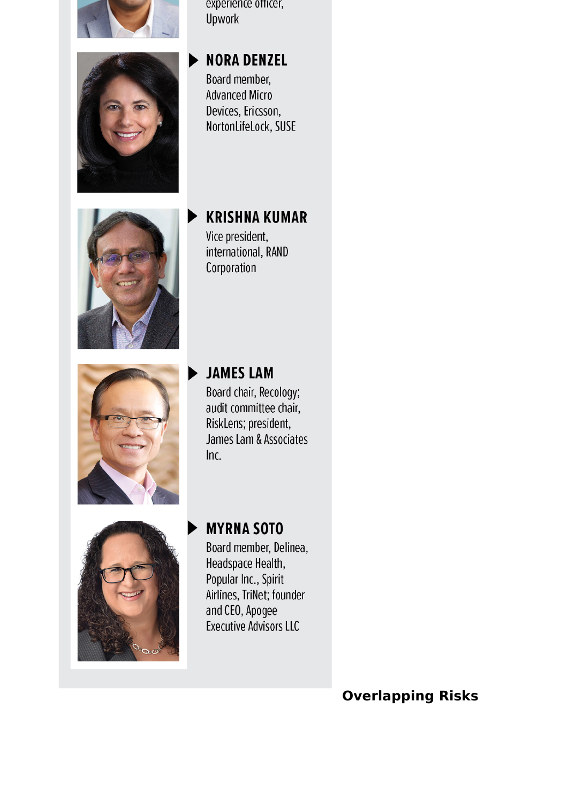



experience officer, Upwork

# **NORA DENZEL**

Board member. **Advanced Micro** Devices, Ericsson, NortonLifeLock, SUSE

# **KRISHNA KUMAR**

Vice president, international, RAND Corporation



# **JAMES LAM**

Board chair, Recology; audit committee chair, RiskLens; president, James Lam & Associates  $Inc$ 



## **MYRNA SOTO**

Board member, Delinea, Headspace Health, Popular Inc., Spirit Airlines, TriNet; founder and CEO, Apogee Executive Advisors LLC

### **Overlapping Risks**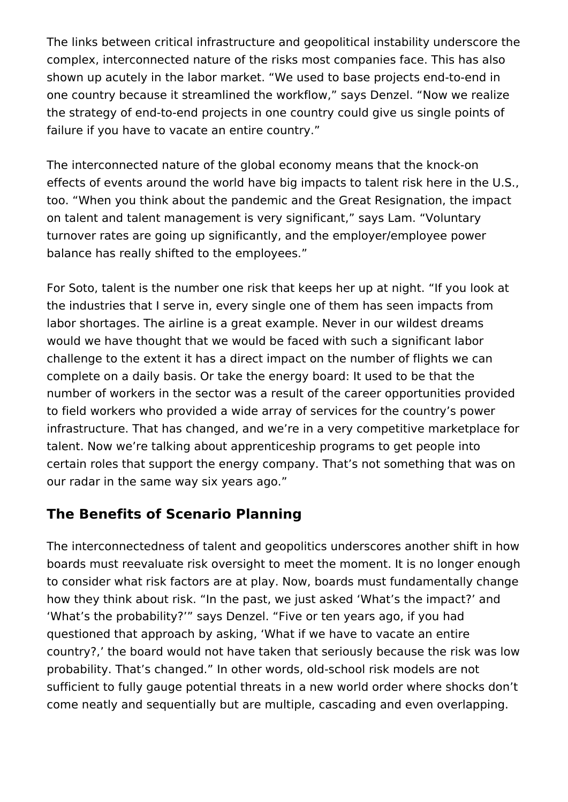The links between critical infrastructure and geopolitical instability underscore the complex, interconnected nature of the risks most companies face. This has also shown up acutely in the labor market. "We used to base projects end-to-end in one country because it streamlined the workflow," says Denzel. "Now we realize the strategy of end-to-end projects in one country could give us single points of failure if you have to vacate an entire country."

The interconnected nature of the global economy means that the knock-on effects of events around the world have big impacts to talent risk here in the U.S., too. "When you think about the pandemic and the Great Resignation, the impact on talent and talent management is very significant," says Lam. "Voluntary turnover rates are going up significantly, and the employer/employee power balance has really shifted to the employees."

For Soto, talent is the number one risk that keeps her up at night. "If you look at the industries that I serve in, every single one of them has seen impacts from labor shortages. The airline is a great example. Never in our wildest dreams would we have thought that we would be faced with such a significant labor challenge to the extent it has a direct impact on the number of flights we can complete on a daily basis. Or take the energy board: It used to be that the number of workers in the sector was a result of the career opportunities provided to field workers who provided a wide array of services for the country's power infrastructure. That has changed, and we're in a very competitive marketplace for talent. Now we're talking about apprenticeship programs to get people into certain roles that support the energy company. That's not something that was on our radar in the same way six years ago."

### **The Benefits of Scenario Planning**

The interconnectedness of talent and geopolitics underscores another shift in how boards must reevaluate risk oversight to meet the moment. It is no longer enough to consider what risk factors are at play. Now, boards must fundamentally change how they think about risk. "In the past, we just asked 'What's the impact?' and 'What's the probability?'" says Denzel. "Five or ten years ago, if you had questioned that approach by asking, 'What if we have to vacate an entire country?,' the board would not have taken that seriously because the risk was low probability. That's changed." In other words, old-school risk models are not sufficient to fully gauge potential threats in a new world order where shocks don't come neatly and sequentially but are multiple, cascading and even overlapping.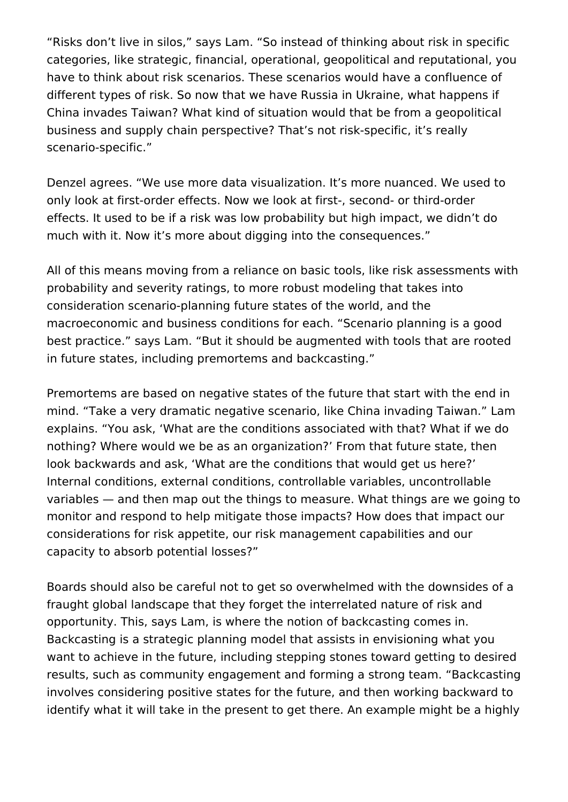"Risks don't live in silos," says Lam. "So instead of thinking about risk in specific categories, like strategic, financial, operational, geopolitical and reputational, you have to think about risk scenarios. These scenarios would have a confluence of different types of risk. So now that we have Russia in Ukraine, what happens if China invades Taiwan? What kind of situation would that be from a geopolitical business and supply chain perspective? That's not risk-specific, it's really scenario-specific."

Denzel agrees. "We use more data visualization. It's more nuanced. We used to only look at first-order effects. Now we look at first-, second- or third-order effects. It used to be if a risk was low probability but high impact, we didn't do much with it. Now it's more about digging into the consequences."

All of this means moving from a reliance on basic tools, like risk assessments with probability and severity ratings, to more robust modeling that takes into consideration scenario-planning future states of the world, and the macroeconomic and business conditions for each. "Scenario planning is a good best practice." says Lam. "But it should be augmented with tools that are rooted in future states, including premortems and backcasting."

Premortems are based on negative states of the future that start with the end in mind. "Take a very dramatic negative scenario, like China invading Taiwan." Lam explains. "You ask, 'What are the conditions associated with that? What if we do nothing? Where would we be as an organization?' From that future state, then look backwards and ask, 'What are the conditions that would get us here?' Internal conditions, external conditions, controllable variables, uncontrollable variables — and then map out the things to measure. What things are we going to monitor and respond to help mitigate those impacts? How does that impact our considerations for risk appetite, our risk management capabilities and our capacity to absorb potential losses?"

Boards should also be careful not to get so overwhelmed with the downsides of a fraught global landscape that they forget the interrelated nature of risk and opportunity. This, says Lam, is where the notion of backcasting comes in. Backcasting is a strategic planning model that assists in envisioning what you want to achieve in the future, including stepping stones toward getting to desired results, such as community engagement and forming a strong team. "Backcasting involves considering positive states for the future, and then working backward to identify what it will take in the present to get there. An example might be a highly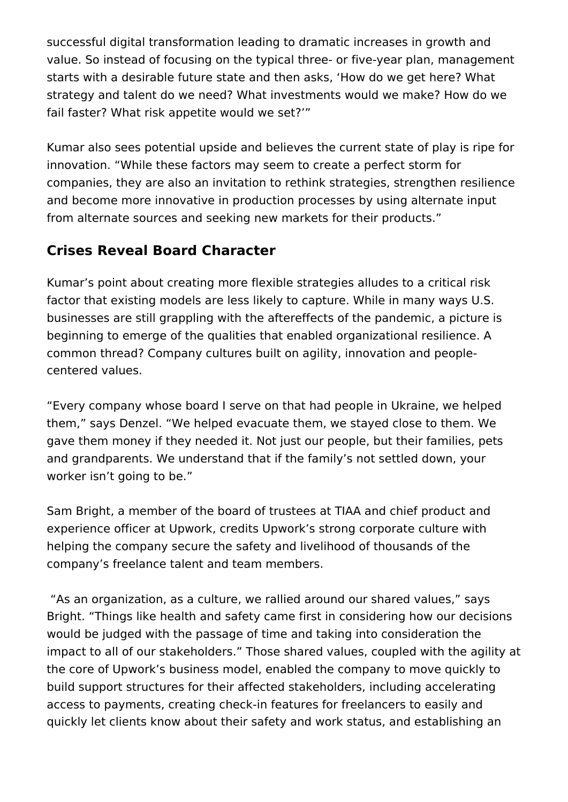successful digital transformation leading to dramatic increases in growth and value. So instead of focusing on the typical three- or five-year plan, management starts with a desirable future state and then asks, 'How do we get here? What strategy and talent do we need? What investments would we make? How do we fail faster? What risk appetite would we set?'"

Kumar also sees potential upside and believes the current state of play is ripe for innovation. "While these factors may seem to create a perfect storm for companies, they are also an invitation to rethink strategies, strengthen resilience and become more innovative in production processes by using alternate input from alternate sources and seeking new markets for their products."

### **Crises Reveal Board Character**

Kumar's point about creating more flexible strategies alludes to a critical risk factor that existing models are less likely to capture. While in many ways U.S. businesses are still grappling with the aftereffects of the pandemic, a picture is beginning to emerge of the qualities that enabled organizational resilience. A common thread? Company cultures built on agility, innovation and peoplecentered values.

"Every company whose board I serve on that had people in Ukraine, we helped them," says Denzel. "We helped evacuate them, we stayed close to them. We gave them money if they needed it. Not just our people, but their families, pets and grandparents. We understand that if the family's not settled down, your worker isn't going to be."

Sam Bright, a member of the board of trustees at TIAA and chief product and experience officer at Upwork, credits Upwork's strong corporate culture with helping the company secure the safety and livelihood of thousands of the company's freelance talent and team members.

 "As an organization, as a culture, we rallied around our shared values," says Bright. "Things like health and safety came first in considering how our decisions would be judged with the passage of time and taking into consideration the impact to all of our stakeholders." Those shared values, coupled with the agility at the core of Upwork's business model, enabled the company to move quickly to build support structures for their affected stakeholders, including accelerating access to payments, creating check-in features for freelancers to easily and quickly let clients know about their safety and work status, and establishing an